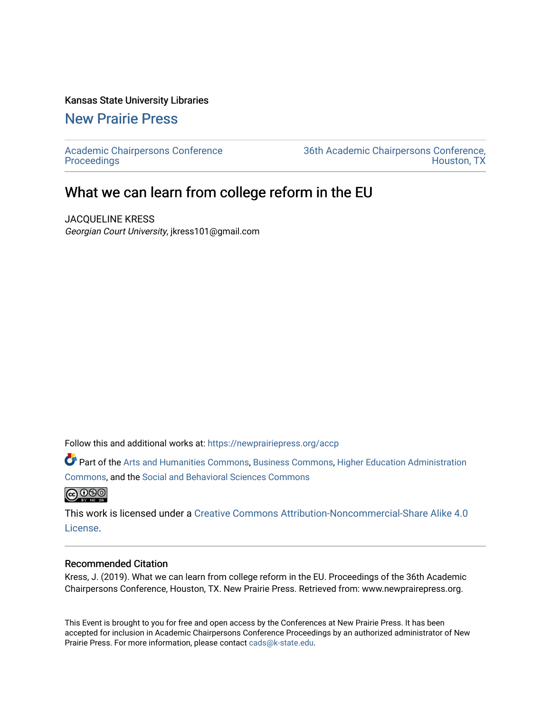### Kansas State University Libraries

## [New Prairie Press](https://newprairiepress.org/)

[Academic Chairpersons Conference](https://newprairiepress.org/accp)  **Proceedings** 

[36th Academic Chairpersons Conference,](https://newprairiepress.org/accp/2019)  [Houston, TX](https://newprairiepress.org/accp/2019) 

# What we can learn from college reform in the EU

JACQUELINE KRESS Georgian Court University, jkress101@gmail.com

Follow this and additional works at: [https://newprairiepress.org/accp](https://newprairiepress.org/accp?utm_source=newprairiepress.org%2Faccp%2F2019%2Fissues%2F4&utm_medium=PDF&utm_campaign=PDFCoverPages) 

Part of the [Arts and Humanities Commons,](http://network.bepress.com/hgg/discipline/438?utm_source=newprairiepress.org%2Faccp%2F2019%2Fissues%2F4&utm_medium=PDF&utm_campaign=PDFCoverPages) [Business Commons](http://network.bepress.com/hgg/discipline/622?utm_source=newprairiepress.org%2Faccp%2F2019%2Fissues%2F4&utm_medium=PDF&utm_campaign=PDFCoverPages), [Higher Education Administration](http://network.bepress.com/hgg/discipline/791?utm_source=newprairiepress.org%2Faccp%2F2019%2Fissues%2F4&utm_medium=PDF&utm_campaign=PDFCoverPages)  [Commons](http://network.bepress.com/hgg/discipline/791?utm_source=newprairiepress.org%2Faccp%2F2019%2Fissues%2F4&utm_medium=PDF&utm_campaign=PDFCoverPages), and the [Social and Behavioral Sciences Commons](http://network.bepress.com/hgg/discipline/316?utm_source=newprairiepress.org%2Faccp%2F2019%2Fissues%2F4&utm_medium=PDF&utm_campaign=PDFCoverPages)



This work is licensed under a [Creative Commons Attribution-Noncommercial-Share Alike 4.0](https://creativecommons.org/licenses/by-nc-sa/4.0/) [License.](https://creativecommons.org/licenses/by-nc-sa/4.0/)

### Recommended Citation

Kress, J. (2019). What we can learn from college reform in the EU. Proceedings of the 36th Academic Chairpersons Conference, Houston, TX. New Prairie Press. Retrieved from: www.newprairepress.org.

This Event is brought to you for free and open access by the Conferences at New Prairie Press. It has been accepted for inclusion in Academic Chairpersons Conference Proceedings by an authorized administrator of New Prairie Press. For more information, please contact [cads@k-state.edu.](mailto:cads@k-state.edu)